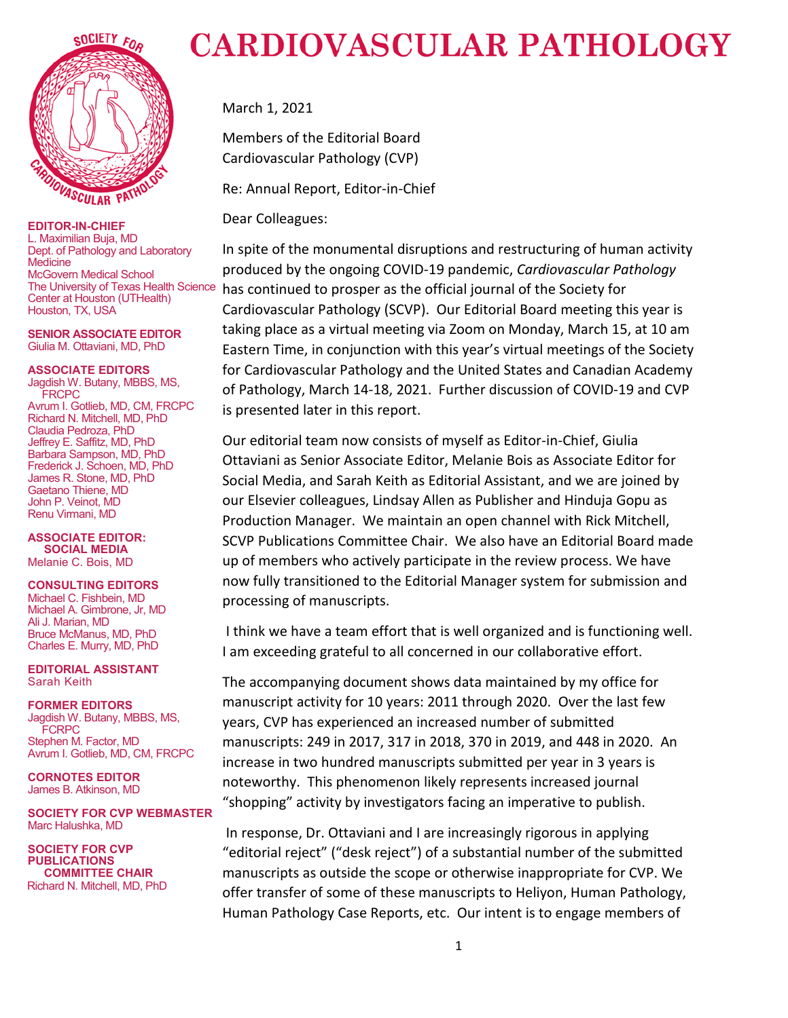

**EDITOR-IN-CHIEF** L. Maximilian Buja, MD Dept. of Pathology and Laboratory **Medicine** McGovern Medical School The University of Texas Health Science Center at Houston (UTHealth) Houston, TX, USA

**SENIOR ASSOCIATE EDITOR** Giulia M. Ottaviani, MD, PhD

#### **ASSOCIATE EDITORS**

Jagdish W. Butany, MBBS, MS, **FRCPC** Avrum I. Gotlieb, MD, CM, FRCPC Richard N. Mitchell, MD, PhD Claudia Pedroza, PhD Jeffrey E. Saffitz, MD, PhD Barbara Sampson, MD, PhD Frederick J. Schoen, MD, PhD James R. Stone, MD, PhD Gaetano Thiene, MD John P. Veinot, MD Renu Virmani, MD

**ASSOCIATE EDITOR: SOCIAL MEDIA** Melanie C. Bois, MD

## **CONSULTING EDITORS**

Michael C. Fishbein, MD Michael A. Gimbrone, Jr, MD Ali J. Marian, MD Bruce McManus, MD, PhD Charles E. Murry, MD, PhD

**EDITORIAL ASSISTANT** Sarah Keith

**FORMER EDITORS** Jagdish W. Butany, MBBS, MS, **FCRPC** Stephen M. Factor, MD Avrum I. Gotlieb, MD, CM, FRCPC

**CORNOTES EDITOR** James B. Atkinson, MD

**SOCIETY FOR CVP WEBMASTER** Marc Halushka, MD

**SOCIETY FOR CVP PUBLICATIONS COMMITTEE CHAIR** Richard N. Mitchell, MD, PhD

## **CARDIOVASCULAR PATHOLOGY**

March 1, 2021

Members of the Editorial Board Cardiovascular Pathology (CVP)

Re: Annual Report, Editor-in-Chief

Dear Colleagues:

In spite of the monumental disruptions and restructuring of human activity produced by the ongoing COVID-19 pandemic, *Cardiovascular Pathology* has continued to prosper as the official journal of the Society for Cardiovascular Pathology (SCVP). Our Editorial Board meeting this year is taking place as a virtual meeting via Zoom on Monday, March 15, at 10 am Eastern Time, in conjunction with this year's virtual meetings of the Society for Cardiovascular Pathology and the United States and Canadian Academy of Pathology, March 14-18, 2021. Further discussion of COVID-19 and CVP is presented later in this report.

Our editorial team now consists of myself as Editor-in-Chief, Giulia Ottaviani as Senior Associate Editor, Melanie Bois as Associate Editor for Social Media, and Sarah Keith as Editorial Assistant, and we are joined by our Elsevier colleagues, Lindsay Allen as Publisher and Hinduja Gopu as Production Manager. We maintain an open channel with Rick Mitchell, SCVP Publications Committee Chair. We also have an Editorial Board made up of members who actively participate in the review process. We have now fully transitioned to the Editorial Manager system for submission and processing of manuscripts.

I think we have a team effort that is well organized and is functioning well. I am exceeding grateful to all concerned in our collaborative effort.

The accompanying document shows data maintained by my office for manuscript activity for 10 years: 2011 through 2020. Over the last few years, CVP has experienced an increased number of submitted manuscripts: 249 in 2017, 317 in 2018, 370 in 2019, and 448 in 2020. An increase in two hundred manuscripts submitted per year in 3 years is noteworthy. This phenomenon likely represents increased journal "shopping" activity by investigators facing an imperative to publish.

In response, Dr. Ottaviani and I are increasingly rigorous in applying "editorial reject" ("desk reject") of a substantial number of the submitted manuscripts as outside the scope or otherwise inappropriate for CVP. We offer transfer of some of these manuscripts to Heliyon, Human Pathology, Human Pathology Case Reports, etc. Our intent is to engage members of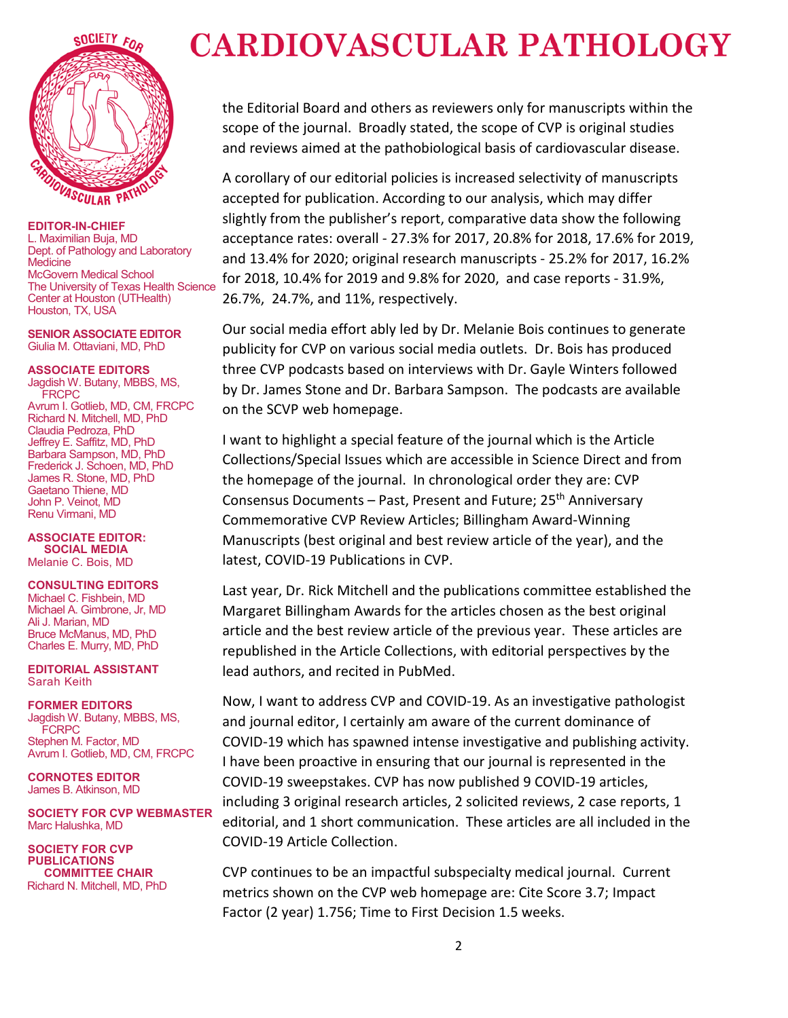

**EDITOR-IN-CHIEF** L. Maximilian Buja, MD Dept. of Pathology and Laboratory **Medicine** McGovern Medical School The University of Texas Health Science Center at Houston (UTHealth) Houston, TX, USA

**SENIOR ASSOCIATE EDITOR** Giulia M. Ottaviani, MD, PhD

**ASSOCIATE EDITORS**

Jagdish W. Butany, MBBS, MS, **FRCPC** Avrum I. Gotlieb, MD, CM, FRCPC Richard N. Mitchell, MD, PhD Claudia Pedroza, PhD Jeffrey E. Saffitz, MD, PhD Barbara Sampson, MD, PhD Frederick J. Schoen, MD, PhD James R. Stone, MD, PhD Gaetano Thiene, MD John P. Veinot, MD Renu Virmani, MD

**ASSOCIATE EDITOR: SOCIAL MEDIA** Melanie C. Bois, MD

## **CONSULTING EDITORS**

Michael C. Fishbein, MD Michael A. Gimbrone, Jr, MD Ali J. Marian, MD Bruce McManus, MD, PhD Charles E. Murry, MD, PhD

**EDITORIAL ASSISTANT** Sarah Keith

**FORMER EDITORS** Jagdish W. Butany, MBBS, MS, **FCRPC** Stephen M. Factor, MD Avrum I. Gotlieb, MD, CM, FRCPC

**CORNOTES EDITOR** James B. Atkinson, MD

**SOCIETY FOR CVP WEBMASTER** Marc Halushka, MD

**SOCIETY FOR CVP PUBLICATIONS COMMITTEE CHAIR** Richard N. Mitchell, MD, PhD

## **CARDIOVASCULAR PATHOLOGY**

the Editorial Board and others as reviewers only for manuscripts within the scope of the journal. Broadly stated, the scope of CVP is original studies and reviews aimed at the pathobiological basis of cardiovascular disease.

A corollary of our editorial policies is increased selectivity of manuscripts accepted for publication. According to our analysis, which may differ slightly from the publisher's report, comparative data show the following acceptance rates: overall - 27.3% for 2017, 20.8% for 2018, 17.6% for 2019, and 13.4% for 2020; original research manuscripts - 25.2% for 2017, 16.2% for 2018, 10.4% for 2019 and 9.8% for 2020, and case reports - 31.9%, 26.7%, 24.7%, and 11%, respectively.

Our social media effort ably led by Dr. Melanie Bois continues to generate publicity for CVP on various social media outlets. Dr. Bois has produced three CVP podcasts based on interviews with Dr. Gayle Winters followed by Dr. James Stone and Dr. Barbara Sampson. The podcasts are available on the SCVP web homepage.

I want to highlight a special feature of the journal which is the Article Collections/Special Issues which are accessible in Science Direct and from the homepage of the journal. In chronological order they are: CVP Consensus Documents – Past, Present and Future; 25<sup>th</sup> Anniversary Commemorative CVP Review Articles; Billingham Award-Winning Manuscripts (best original and best review article of the year), and the latest, COVID-19 Publications in CVP.

Last year, Dr. Rick Mitchell and the publications committee established the Margaret Billingham Awards for the articles chosen as the best original article and the best review article of the previous year. These articles are republished in the Article Collections, with editorial perspectives by the lead authors, and recited in PubMed.

Now, I want to address CVP and COVID-19. As an investigative pathologist and journal editor, I certainly am aware of the current dominance of COVID-19 which has spawned intense investigative and publishing activity. I have been proactive in ensuring that our journal is represented in the COVID-19 sweepstakes. CVP has now published 9 COVID-19 articles, including 3 original research articles, 2 solicited reviews, 2 case reports, 1 editorial, and 1 short communication. These articles are all included in the COVID-19 Article Collection.

CVP continues to be an impactful subspecialty medical journal. Current metrics shown on the CVP web homepage are: Cite Score 3.7; Impact Factor (2 year) 1.756; Time to First Decision 1.5 weeks.